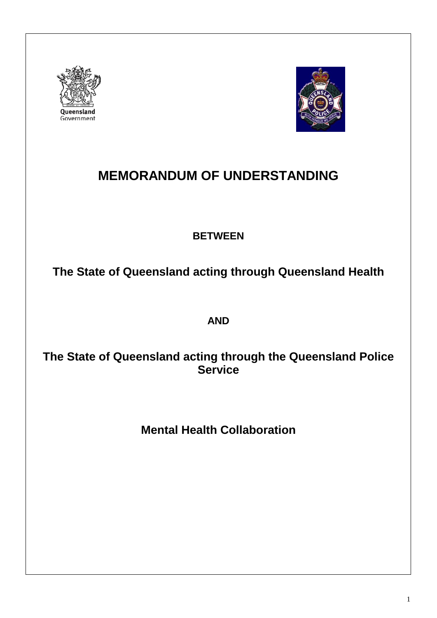



# **MEMORANDUM OF UNDERSTANDING**

# **BETWEEN**

**The State of Queensland acting through Queensland Health**

**AND**

# **The State of Queensland acting through the Queensland Police Service**

**Mental Health Collaboration**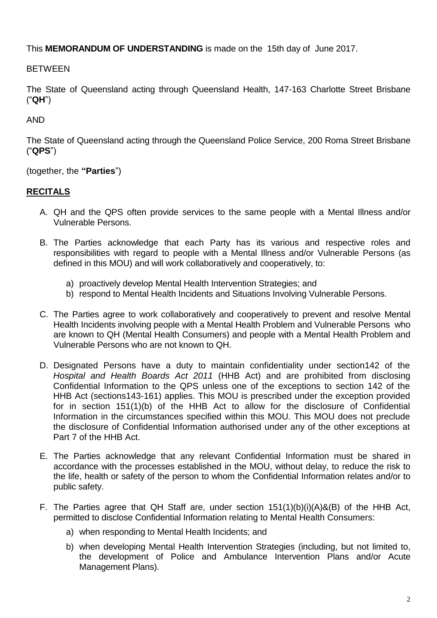This **MEMORANDUM OF UNDERSTANDING** is made on the 15th day of June 2017.

**BETWEEN** 

The State of Queensland acting through Queensland Health, 147-163 Charlotte Street Brisbane ("**QH**")

AND

The State of Queensland acting through the Queensland Police Service, 200 Roma Street Brisbane ("**QPS**")

(together, the **"Parties**")

# **RECITALS**

- A. QH and the QPS often provide services to the same people with a Mental Illness and/or Vulnerable Persons.
- B. The Parties acknowledge that each Party has its various and respective roles and responsibilities with regard to people with a Mental Illness and/or Vulnerable Persons (as defined in this MOU) and will work collaboratively and cooperatively, to:
	- a) proactively develop Mental Health Intervention Strategies; and
	- b) respond to Mental Health Incidents and Situations Involving Vulnerable Persons.
- C. The Parties agree to work collaboratively and cooperatively to prevent and resolve Mental Health Incidents involving people with a Mental Health Problem and Vulnerable Persons who are known to QH (Mental Health Consumers) and people with a Mental Health Problem and Vulnerable Persons who are not known to QH.
- D. Designated Persons have a duty to maintain confidentiality under section142 of the *Hospital and Health Boards Act 2011* (HHB Act) and are prohibited from disclosing Confidential Information to the QPS unless one of the exceptions to section 142 of the HHB Act (sections143-161) applies. This MOU is prescribed under the exception provided for in section 151(1)(b) of the HHB Act to allow for the disclosure of Confidential Information in the circumstances specified within this MOU. This MOU does not preclude the disclosure of Confidential Information authorised under any of the other exceptions at Part 7 of the HHB Act.
- E. The Parties acknowledge that any relevant Confidential Information must be shared in accordance with the processes established in the MOU, without delay, to reduce the risk to the life, health or safety of the person to whom the Confidential Information relates and/or to public safety.
- F. The Parties agree that QH Staff are, under section 151(1)(b)(i)(A)&(B) of the HHB Act, permitted to disclose Confidential Information relating to Mental Health Consumers:
	- a) when responding to Mental Health Incidents; and
	- b) when developing Mental Health Intervention Strategies (including, but not limited to, the development of Police and Ambulance Intervention Plans and/or Acute Management Plans).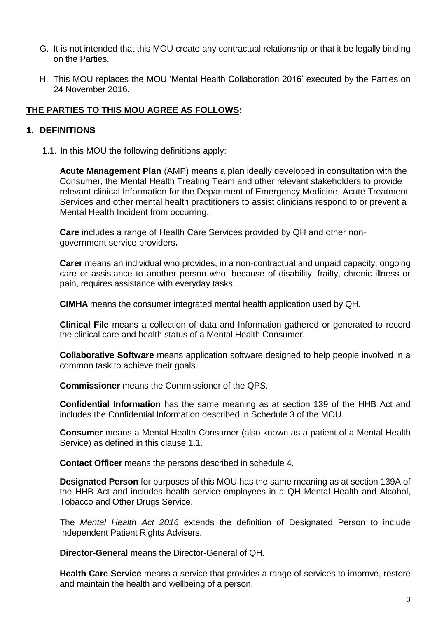- G. It is not intended that this MOU create any contractual relationship or that it be legally binding on the Parties.
- H. This MOU replaces the MOU 'Mental Health Collaboration 2016' executed by the Parties on 24 November 2016.

#### **THE PARTIES TO THIS MOU AGREE AS FOLLOWS:**

#### **1. DEFINITIONS**

1.1. In this MOU the following definitions apply:

**Acute Management Plan** (AMP) means a plan ideally developed in consultation with the Consumer, the Mental Health Treating Team and other relevant stakeholders to provide relevant clinical Information for the Department of Emergency Medicine, Acute Treatment Services and other mental health practitioners to assist clinicians respond to or prevent a Mental Health Incident from occurring.

**Care** includes a range of Health Care Services provided by QH and other nongovernment service providers**.**

**Carer** means an individual who provides, in a non-contractual and unpaid capacity, ongoing care or assistance to another person who, because of disability, frailty, chronic illness or pain, requires assistance with everyday tasks.

**CIMHA** means the consumer integrated mental health application used by QH.

**Clinical File** means a collection of data and Information gathered or generated to record the clinical care and health status of a Mental Health Consumer.

**Collaborative Software** means application software designed to help people involved in a common task to achieve their goals.

**Commissioner** means the Commissioner of the QPS.

**Confidential Information** has the same meaning as at section 139 of the HHB Act and includes the Confidential Information described in Schedule 3 of the MOU.

**Consumer** means a Mental Health Consumer (also known as a patient of a Mental Health Service) as defined in this clause 1.1.

**Contact Officer** means the persons described in schedule 4.

**Designated Person** for purposes of this MOU has the same meaning as at section 139A of the HHB Act and includes health service employees in a QH Mental Health and Alcohol, Tobacco and Other Drugs Service.

The *Mental Health Act 2016* extends the definition of Designated Person to include Independent Patient Rights Advisers.

**Director-General** means the Director-General of QH.

**Health Care Service** means a service that provides a range of services to improve, restore and maintain the health and wellbeing of a person.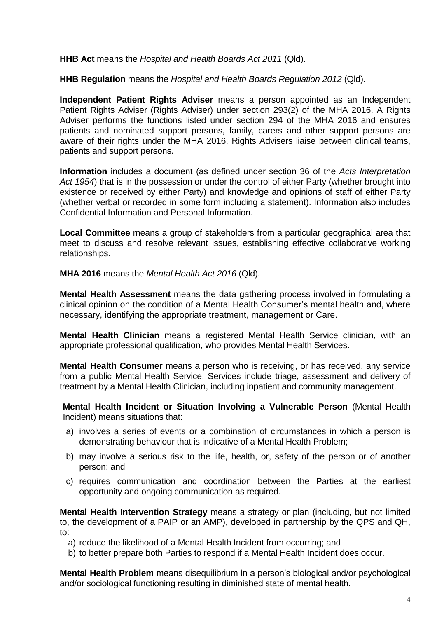**HHB Act** means the *Hospital and Health Boards Act 2011* (Qld).

**HHB Regulation** means the *Hospital and Health Boards Regulation 2012* (Qld).

**Independent Patient Rights Adviser** means a person appointed as an Independent Patient Rights Adviser (Rights Adviser) under section 293(2) of the MHA 2016. A Rights Adviser performs the functions listed under section 294 of the MHA 2016 and ensures patients and nominated support persons, family, carers and other support persons are aware of their rights under the MHA 2016. Rights Advisers liaise between clinical teams, patients and support persons.

**Information** includes a document (as defined under section 36 of the *Acts Interpretation Act 1954*) that is in the possession or under the control of either Party (whether brought into existence or received by either Party) and knowledge and opinions of staff of either Party (whether verbal or recorded in some form including a statement). Information also includes Confidential Information and Personal Information.

**Local Committee** means a group of stakeholders from a particular geographical area that meet to discuss and resolve relevant issues, establishing effective collaborative working relationships.

**MHA 2016** means the *Mental Health Act 2016* (Qld).

**Mental Health Assessment** means the data gathering process involved in formulating a clinical opinion on the condition of a Mental Health Consumer's mental health and, where necessary, identifying the appropriate treatment, management or Care.

**Mental Health Clinician** means a registered Mental Health Service clinician, with an appropriate professional qualification, who provides Mental Health Services.

**Mental Health Consumer** means a person who is receiving, or has received, any service from a public Mental Health Service. Services include triage, assessment and delivery of treatment by a Mental Health Clinician, including inpatient and community management.

**Mental Health Incident or Situation Involving a Vulnerable Person** (Mental Health Incident) means situations that:

- a) involves a series of events or a combination of circumstances in which a person is demonstrating behaviour that is indicative of a Mental Health Problem;
- b) may involve a serious risk to the life, health, or, safety of the person or of another person; and
- c) requires communication and coordination between the Parties at the earliest opportunity and ongoing communication as required.

**Mental Health Intervention Strategy** means a strategy or plan (including, but not limited to, the development of a PAIP or an AMP), developed in partnership by the QPS and QH, to:

- a) reduce the likelihood of a Mental Health Incident from occurring; and
- b) to better prepare both Parties to respond if a Mental Health Incident does occur.

**Mental Health Problem** means disequilibrium in a person's biological and/or psychological and/or sociological functioning resulting in diminished state of mental health.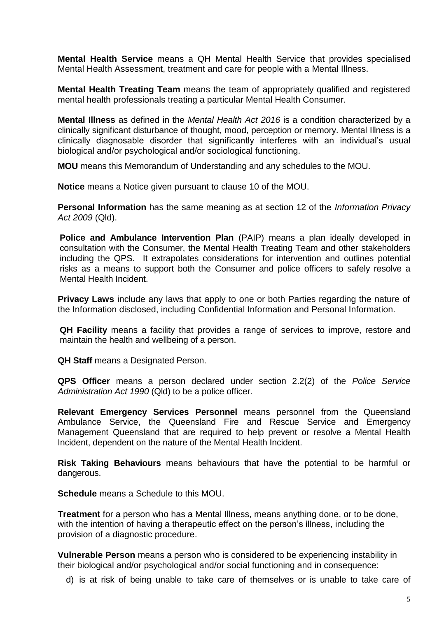**Mental Health Service** means a QH Mental Health Service that provides specialised Mental Health Assessment, treatment and care for people with a Mental Illness.

**Mental Health Treating Team** means the team of appropriately qualified and registered mental health professionals treating a particular Mental Health Consumer.

**Mental Illness** as defined in the *Mental Health Act 2016* is a condition characterized by a clinically significant disturbance of thought, mood, perception or memory. Mental Illness is a clinically diagnosable disorder that significantly interferes with an individual's usual biological and/or psychological and/or sociological functioning.

**MOU** means this Memorandum of Understanding and any schedules to the MOU.

**Notice** means a Notice given pursuant to clause 10 of the MOU.

**Personal Information** has the same meaning as at section 12 of the *Information Privacy Act 2009* (Qld).

**Police and Ambulance Intervention Plan** (PAIP) means a plan ideally developed in consultation with the Consumer, the Mental Health Treating Team and other stakeholders including the QPS. It extrapolates considerations for intervention and outlines potential risks as a means to support both the Consumer and police officers to safely resolve a Mental Health Incident.

**Privacy Laws** include any laws that apply to one or both Parties regarding the nature of the Information disclosed, including Confidential Information and Personal Information.

**QH Facility** means a facility that provides a range of services to improve, restore and maintain the health and wellbeing of a person.

**QH Staff** means a Designated Person.

**QPS Officer** means a person declared under section 2.2(2) of the *Police Service Administration Act 1990* (Qld) to be a police officer.

**Relevant Emergency Services Personnel** means personnel from the Queensland Ambulance Service, the Queensland Fire and Rescue Service and Emergency Management Queensland that are required to help prevent or resolve a Mental Health Incident, dependent on the nature of the Mental Health Incident.

**Risk Taking Behaviours** means behaviours that have the potential to be harmful or dangerous.

**Schedule** means a Schedule to this MOU.

**Treatment** for a person who has a Mental Illness, means anything done, or to be done, with the intention of having a therapeutic effect on the person's illness, including the provision of a diagnostic procedure.

**Vulnerable Person** means a person who is considered to be experiencing instability in their biological and/or psychological and/or social functioning and in consequence:

d) is at risk of being unable to take care of themselves or is unable to take care of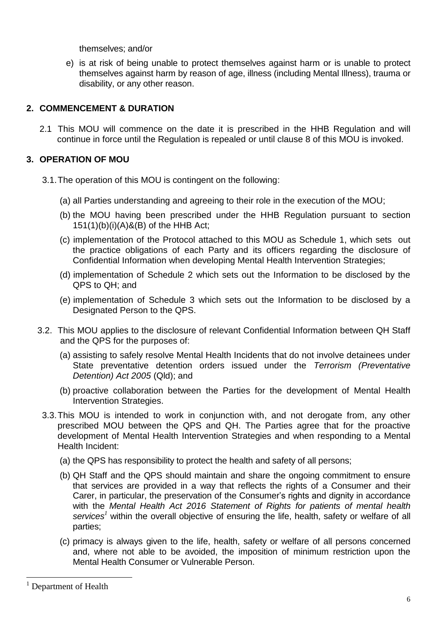themselves; and/or

e) is at risk of being unable to protect themselves against harm or is unable to protect themselves against harm by reason of age, illness (including Mental Illness), trauma or disability, or any other reason.

#### **2. COMMENCEMENT & DURATION**

2.1 This MOU will commence on the date it is prescribed in the HHB Regulation and will continue in force until the Regulation is repealed or until clause 8 of this MOU is invoked.

# **3. OPERATION OF MOU**

- 3.1.The operation of this MOU is contingent on the following:
	- (a) all Parties understanding and agreeing to their role in the execution of the MOU;
	- (b) the MOU having been prescribed under the HHB Regulation pursuant to section 151(1)(b)(i)(A)&(B) of the HHB Act;
	- (c) implementation of the Protocol attached to this MOU as Schedule 1, which sets out the practice obligations of each Party and its officers regarding the disclosure of Confidential Information when developing Mental Health Intervention Strategies;
	- (d) implementation of Schedule 2 which sets out the Information to be disclosed by the QPS to QH; and
	- (e) implementation of Schedule 3 which sets out the Information to be disclosed by a Designated Person to the QPS.
- 3.2. This MOU applies to the disclosure of relevant Confidential Information between QH Staff and the QPS for the purposes of:
	- (a) assisting to safely resolve Mental Health Incidents that do not involve detainees under State preventative detention orders issued under the *Terrorism (Preventative Detention) Act 2005* (Qld); and
	- (b) proactive collaboration between the Parties for the development of Mental Health Intervention Strategies.
- 3.3.This MOU is intended to work in conjunction with, and not derogate from, any other prescribed MOU between the QPS and QH. The Parties agree that for the proactive development of Mental Health Intervention Strategies and when responding to a Mental Health Incident:
	- (a) the QPS has responsibility to protect the health and safety of all persons;
	- (b) QH Staff and the QPS should maintain and share the ongoing commitment to ensure that services are provided in a way that reflects the rights of a Consumer and their Carer, in particular, the preservation of the Consumer's rights and dignity in accordance with the *Mental Health Act 2016 Statement of Rights for patients of mental health services<sup>1</sup>* within the overall objective of ensuring the life, health, safety or welfare of all parties;
	- (c) primacy is always given to the life, health, safety or welfare of all persons concerned and, where not able to be avoided, the imposition of minimum restriction upon the Mental Health Consumer or Vulnerable Person.

1

<sup>&</sup>lt;sup>1</sup> Department of Health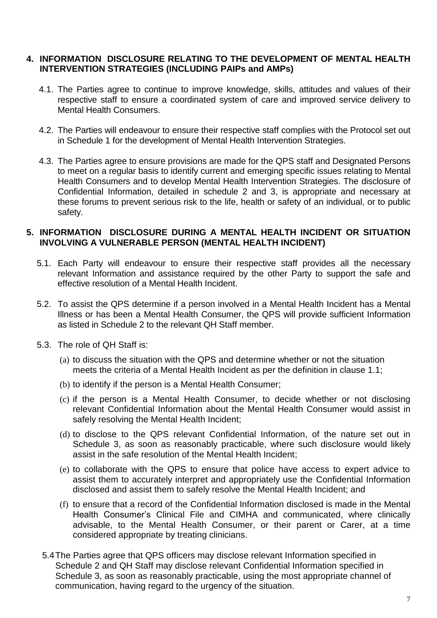#### **4. INFORMATION DISCLOSURE RELATING TO THE DEVELOPMENT OF MENTAL HEALTH INTERVENTION STRATEGIES (INCLUDING PAIPs and AMPs)**

- 4.1. The Parties agree to continue to improve knowledge, skills, attitudes and values of their respective staff to ensure a coordinated system of care and improved service delivery to Mental Health Consumers.
- 4.2. The Parties will endeavour to ensure their respective staff complies with the Protocol set out in Schedule 1 for the development of Mental Health Intervention Strategies.
- 4.3. The Parties agree to ensure provisions are made for the QPS staff and Designated Persons to meet on a regular basis to identify current and emerging specific issues relating to Mental Health Consumers and to develop Mental Health Intervention Strategies. The disclosure of Confidential Information, detailed in schedule 2 and 3, is appropriate and necessary at these forums to prevent serious risk to the life, health or safety of an individual, or to public safety.

#### **5. INFORMATION DISCLOSURE DURING A MENTAL HEALTH INCIDENT OR SITUATION INVOLVING A VULNERABLE PERSON (MENTAL HEALTH INCIDENT)**

- 5.1. Each Party will endeavour to ensure their respective staff provides all the necessary relevant Information and assistance required by the other Party to support the safe and effective resolution of a Mental Health Incident.
- 5.2. To assist the QPS determine if a person involved in a Mental Health Incident has a Mental Illness or has been a Mental Health Consumer, the QPS will provide sufficient Information as listed in Schedule 2 to the relevant QH Staff member.
- 5.3. The role of QH Staff is:
	- (a) to discuss the situation with the QPS and determine whether or not the situation meets the criteria of a Mental Health Incident as per the definition in clause 1.1;
	- (b) to identify if the person is a Mental Health Consumer;
	- (c) if the person is a Mental Health Consumer, to decide whether or not disclosing relevant Confidential Information about the Mental Health Consumer would assist in safely resolving the Mental Health Incident;
	- (d) to disclose to the QPS relevant Confidential Information, of the nature set out in Schedule 3, as soon as reasonably practicable, where such disclosure would likely assist in the safe resolution of the Mental Health Incident;
	- (e) to collaborate with the QPS to ensure that police have access to expert advice to assist them to accurately interpret and appropriately use the Confidential Information disclosed and assist them to safely resolve the Mental Health Incident; and
	- (f) to ensure that a record of the Confidential Information disclosed is made in the Mental Health Consumer's Clinical File and CIMHA and communicated, where clinically advisable, to the Mental Health Consumer, or their parent or Carer, at a time considered appropriate by treating clinicians.
	- 5.4The Parties agree that QPS officers may disclose relevant Information specified in Schedule 2 and QH Staff may disclose relevant Confidential Information specified in Schedule 3, as soon as reasonably practicable, using the most appropriate channel of communication, having regard to the urgency of the situation.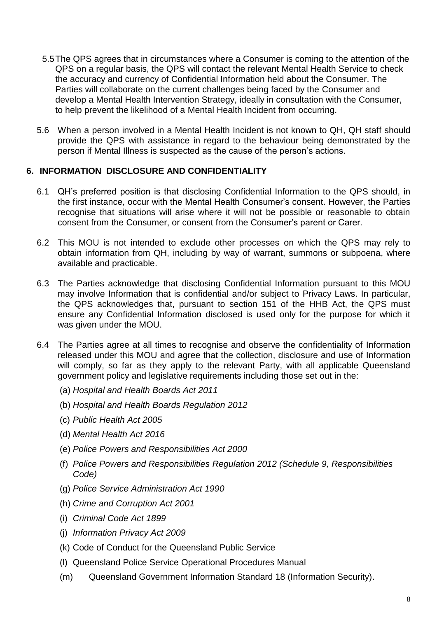- 5.5The QPS agrees that in circumstances where a Consumer is coming to the attention of the QPS on a regular basis, the QPS will contact the relevant Mental Health Service to check the accuracy and currency of Confidential Information held about the Consumer. The Parties will collaborate on the current challenges being faced by the Consumer and develop a Mental Health Intervention Strategy, ideally in consultation with the Consumer, to help prevent the likelihood of a Mental Health Incident from occurring.
- 5.6 When a person involved in a Mental Health Incident is not known to QH, QH staff should provide the QPS with assistance in regard to the behaviour being demonstrated by the person if Mental Illness is suspected as the cause of the person's actions.

#### **6. INFORMATION DISCLOSURE AND CONFIDENTIALITY**

- 6.1 QH's preferred position is that disclosing Confidential Information to the QPS should, in the first instance, occur with the Mental Health Consumer's consent. However, the Parties recognise that situations will arise where it will not be possible or reasonable to obtain consent from the Consumer, or consent from the Consumer's parent or Carer.
- 6.2 This MOU is not intended to exclude other processes on which the QPS may rely to obtain information from QH, including by way of warrant, summons or subpoena, where available and practicable.
- 6.3 The Parties acknowledge that disclosing Confidential Information pursuant to this MOU may involve Information that is confidential and/or subject to Privacy Laws. In particular, the QPS acknowledges that, pursuant to section 151 of the HHB Act, the QPS must ensure any Confidential Information disclosed is used only for the purpose for which it was given under the MOU.
- 6.4 The Parties agree at all times to recognise and observe the confidentiality of Information released under this MOU and agree that the collection, disclosure and use of Information will comply, so far as they apply to the relevant Party, with all applicable Queensland government policy and legislative requirements including those set out in the:
	- (a) *Hospital and Health Boards Act 2011*
	- (b) *Hospital and Health Boards Regulation 2012*
	- (c) *Public Health Act 2005*
	- (d) *Mental Health Act 2016*
	- (e) *Police Powers and Responsibilities Act 2000*
	- (f) *Police Powers and Responsibilities Regulation 2012 (Schedule 9, Responsibilities Code)*
	- (g) *Police Service Administration Act 1990*
	- (h) *Crime and Corruption Act 2001*
	- (i) *Criminal Code Act 1899*
	- (j) *Information Privacy Act 2009*
	- (k) Code of Conduct for the Queensland Public Service
	- (l) Queensland Police Service Operational Procedures Manual
	- (m) Queensland Government Information Standard 18 (Information Security).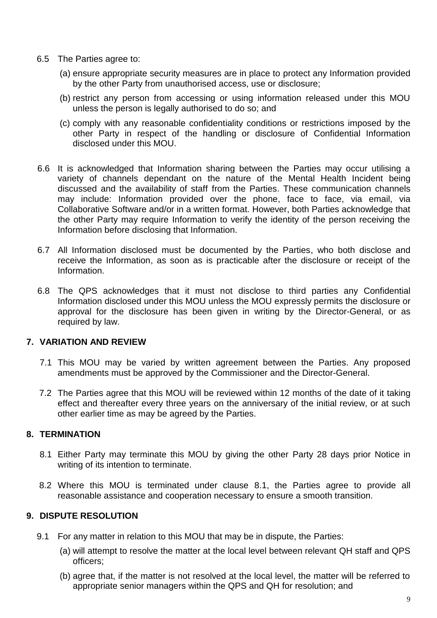- 6.5 The Parties agree to:
	- (a) ensure appropriate security measures are in place to protect any Information provided by the other Party from unauthorised access, use or disclosure;
	- (b) restrict any person from accessing or using information released under this MOU unless the person is legally authorised to do so; and
	- (c) comply with any reasonable confidentiality conditions or restrictions imposed by the other Party in respect of the handling or disclosure of Confidential Information disclosed under this MOU.
- 6.6 It is acknowledged that Information sharing between the Parties may occur utilising a variety of channels dependant on the nature of the Mental Health Incident being discussed and the availability of staff from the Parties. These communication channels may include: Information provided over the phone, face to face, via email, via Collaborative Software and/or in a written format. However, both Parties acknowledge that the other Party may require Information to verify the identity of the person receiving the Information before disclosing that Information.
- 6.7 All Information disclosed must be documented by the Parties, who both disclose and receive the Information, as soon as is practicable after the disclosure or receipt of the Information.
- 6.8 The QPS acknowledges that it must not disclose to third parties any Confidential Information disclosed under this MOU unless the MOU expressly permits the disclosure or approval for the disclosure has been given in writing by the Director-General, or as required by law.

#### **7. VARIATION AND REVIEW**

- 7.1 This MOU may be varied by written agreement between the Parties. Any proposed amendments must be approved by the Commissioner and the Director-General.
- 7.2 The Parties agree that this MOU will be reviewed within 12 months of the date of it taking effect and thereafter every three years on the anniversary of the initial review, or at such other earlier time as may be agreed by the Parties.

#### **8. TERMINATION**

- 8.1 Either Party may terminate this MOU by giving the other Party 28 days prior Notice in writing of its intention to terminate.
- 8.2 Where this MOU is terminated under clause 8.1, the Parties agree to provide all reasonable assistance and cooperation necessary to ensure a smooth transition.

# **9. DISPUTE RESOLUTION**

- 9.1 For any matter in relation to this MOU that may be in dispute, the Parties:
	- (a) will attempt to resolve the matter at the local level between relevant QH staff and QPS officers;
	- (b) agree that, if the matter is not resolved at the local level, the matter will be referred to appropriate senior managers within the QPS and QH for resolution; and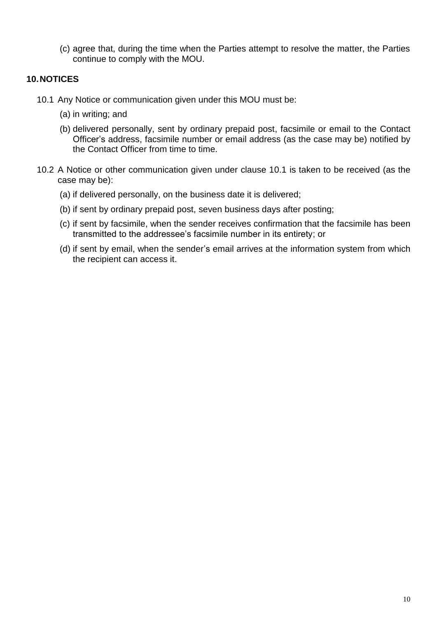(c) agree that, during the time when the Parties attempt to resolve the matter, the Parties continue to comply with the MOU.

#### **10.NOTICES**

- 10.1 Any Notice or communication given under this MOU must be:
	- (a) in writing; and
	- (b) delivered personally, sent by ordinary prepaid post, facsimile or email to the Contact Officer's address, facsimile number or email address (as the case may be) notified by the Contact Officer from time to time.
- 10.2 A Notice or other communication given under clause 10.1 is taken to be received (as the case may be):
	- (a) if delivered personally, on the business date it is delivered;
	- (b) if sent by ordinary prepaid post, seven business days after posting;
	- (c) if sent by facsimile, when the sender receives confirmation that the facsimile has been transmitted to the addressee's facsimile number in its entirety; or
	- (d) if sent by email, when the sender's email arrives at the information system from which the recipient can access it.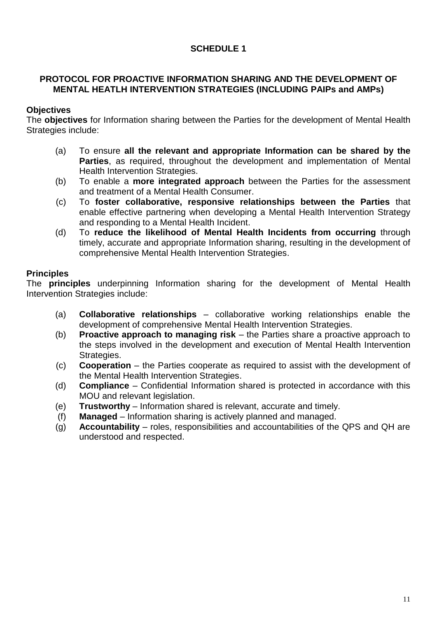### **SCHEDULE 1**

#### **PROTOCOL FOR PROACTIVE INFORMATION SHARING AND THE DEVELOPMENT OF MENTAL HEATLH INTERVENTION STRATEGIES (INCLUDING PAIPs and AMPs)**

# **Objectives**

The **objectives** for Information sharing between the Parties for the development of Mental Health Strategies include:

- (a) To ensure **all the relevant and appropriate Information can be shared by the Parties**, as required, throughout the development and implementation of Mental Health Intervention Strategies.
- (b) To enable a **more integrated approach** between the Parties for the assessment and treatment of a Mental Health Consumer.
- (c) To **foster collaborative, responsive relationships between the Parties** that enable effective partnering when developing a Mental Health Intervention Strategy and responding to a Mental Health Incident.
- (d) To **reduce the likelihood of Mental Health Incidents from occurring** through timely, accurate and appropriate Information sharing, resulting in the development of comprehensive Mental Health Intervention Strategies.

#### **Principles**

The **principles** underpinning Information sharing for the development of Mental Health Intervention Strategies include:

- (a) **Collaborative relationships** collaborative working relationships enable the development of comprehensive Mental Health Intervention Strategies.
- (b) **Proactive approach to managing risk** the Parties share a proactive approach to the steps involved in the development and execution of Mental Health Intervention Strategies.
- (c) **Cooperation** the Parties cooperate as required to assist with the development of the Mental Health Intervention Strategies.
- (d) **Compliance** Confidential Information shared is protected in accordance with this MOU and relevant legislation.
- (e) **Trustworthy** Information shared is relevant, accurate and timely.
- (f) **Managed** Information sharing is actively planned and managed.
- (g) **Accountability** roles, responsibilities and accountabilities of the QPS and QH are understood and respected.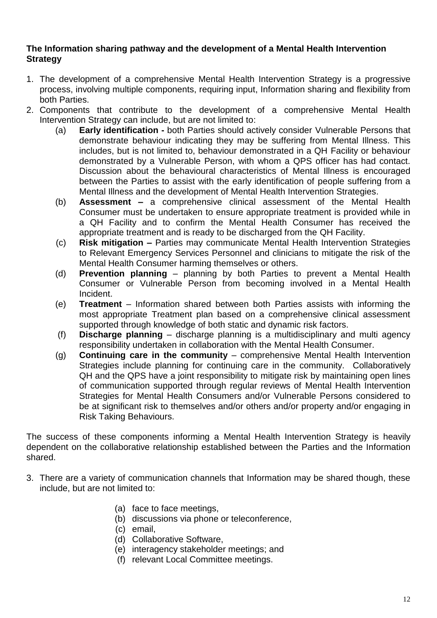#### **The Information sharing pathway and the development of a Mental Health Intervention Strategy**

- 1. The development of a comprehensive Mental Health Intervention Strategy is a progressive process, involving multiple components, requiring input, Information sharing and flexibility from both Parties.
- 2. Components that contribute to the development of a comprehensive Mental Health Intervention Strategy can include, but are not limited to:
	- (a) **Early identification -** both Parties should actively consider Vulnerable Persons that demonstrate behaviour indicating they may be suffering from Mental Illness. This includes, but is not limited to, behaviour demonstrated in a QH Facility or behaviour demonstrated by a Vulnerable Person, with whom a QPS officer has had contact. Discussion about the behavioural characteristics of Mental Illness is encouraged between the Parties to assist with the early identification of people suffering from a Mental Illness and the development of Mental Health Intervention Strategies.
	- (b) **Assessment –** a comprehensive clinical assessment of the Mental Health Consumer must be undertaken to ensure appropriate treatment is provided while in a QH Facility and to confirm the Mental Health Consumer has received the appropriate treatment and is ready to be discharged from the QH Facility.
	- (c) **Risk mitigation –** Parties may communicate Mental Health Intervention Strategies to Relevant Emergency Services Personnel and clinicians to mitigate the risk of the Mental Health Consumer harming themselves or others.
	- (d) **Prevention planning** planning by both Parties to prevent a Mental Health Consumer or Vulnerable Person from becoming involved in a Mental Health Incident.
	- (e) **Treatment**  Information shared between both Parties assists with informing the most appropriate Treatment plan based on a comprehensive clinical assessment supported through knowledge of both static and dynamic risk factors.
	- (f) **Discharge planning**  discharge planning is a multidisciplinary and multi agency responsibility undertaken in collaboration with the Mental Health Consumer.
	- (g) **Continuing care in the community** comprehensive Mental Health Intervention Strategies include planning for continuing care in the community. Collaboratively QH and the QPS have a joint responsibility to mitigate risk by maintaining open lines of communication supported through regular reviews of Mental Health Intervention Strategies for Mental Health Consumers and/or Vulnerable Persons considered to be at significant risk to themselves and/or others and/or property and/or engaging in Risk Taking Behaviours.

The success of these components informing a Mental Health Intervention Strategy is heavily dependent on the collaborative relationship established between the Parties and the Information shared.

- 3. There are a variety of communication channels that Information may be shared though, these include, but are not limited to:
	- (a) face to face meetings,
	- (b) discussions via phone or teleconference,
	- (c) email,
	- (d) Collaborative Software,
	- (e) interagency stakeholder meetings; and
	- (f) relevant Local Committee meetings.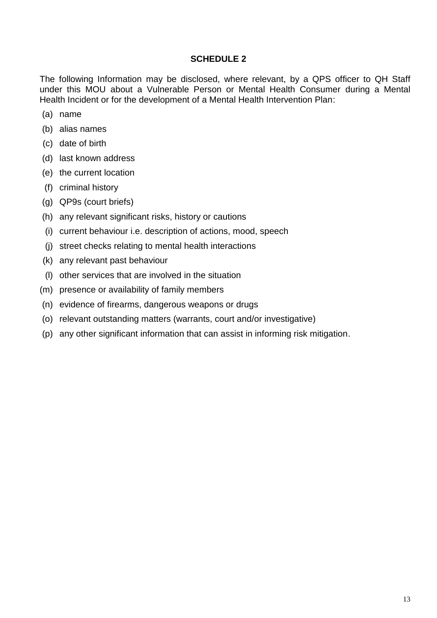#### **SCHEDULE 2**

The following Information may be disclosed, where relevant, by a QPS officer to QH Staff under this MOU about a Vulnerable Person or Mental Health Consumer during a Mental Health Incident or for the development of a Mental Health Intervention Plan:

- (a) name
- (b) alias names
- (c) date of birth
- (d) last known address
- (e) the current location
- (f) criminal history
- (g) QP9s (court briefs)
- (h) any relevant significant risks, history or cautions
- (i) current behaviour i.e. description of actions, mood, speech
- (j) street checks relating to mental health interactions
- (k) any relevant past behaviour
- (l) other services that are involved in the situation
- (m) presence or availability of family members
- (n) evidence of firearms, dangerous weapons or drugs
- (o) relevant outstanding matters (warrants, court and/or investigative)
- (p) any other significant information that can assist in informing risk mitigation.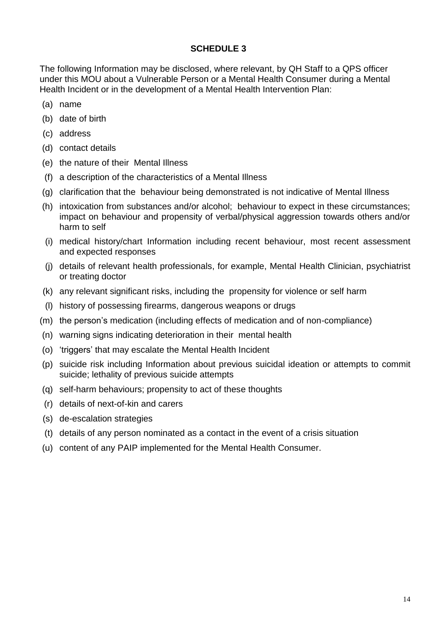#### **SCHEDULE 3**

The following Information may be disclosed, where relevant, by QH Staff to a QPS officer under this MOU about a Vulnerable Person or a Mental Health Consumer during a Mental Health Incident or in the development of a Mental Health Intervention Plan:

- (a) name
- (b) date of birth
- (c) address
- (d) contact details
- (e) the nature of their Mental Illness
- (f) a description of the characteristics of a Mental Illness
- (g) clarification that the behaviour being demonstrated is not indicative of Mental Illness
- (h) intoxication from substances and/or alcohol; behaviour to expect in these circumstances; impact on behaviour and propensity of verbal/physical aggression towards others and/or harm to self
- (i) medical history/chart Information including recent behaviour, most recent assessment and expected responses
- (j) details of relevant health professionals, for example, Mental Health Clinician, psychiatrist or treating doctor
- (k) any relevant significant risks, including the propensity for violence or self harm
- (l) history of possessing firearms, dangerous weapons or drugs
- (m) the person's medication (including effects of medication and of non-compliance)
- (n) warning signs indicating deterioration in their mental health
- (o) 'triggers' that may escalate the Mental Health Incident
- (p) suicide risk including Information about previous suicidal ideation or attempts to commit suicide; lethality of previous suicide attempts
- (q) self-harm behaviours; propensity to act of these thoughts
- (r) details of next-of-kin and carers
- (s) de-escalation strategies
- (t) details of any person nominated as a contact in the event of a crisis situation
- (u) content of any PAIP implemented for the Mental Health Consumer.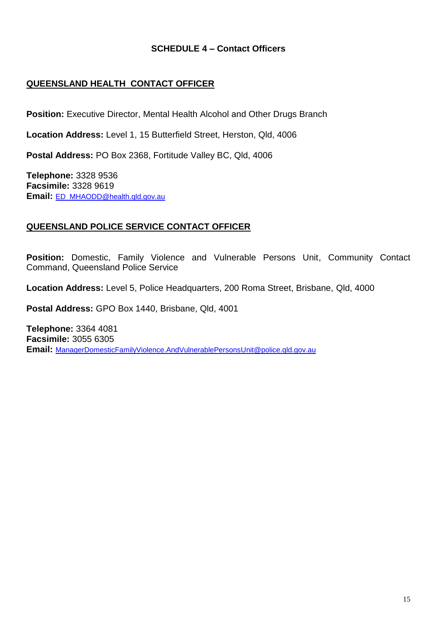#### **SCHEDULE 4 – Contact Officers**

### **QUEENSLAND HEALTH CONTACT OFFICER**

**Position:** Executive Director, Mental Health Alcohol and Other Drugs Branch

**Location Address:** Level 1, 15 Butterfield Street, Herston, Qld, 4006

**Postal Address:** PO Box 2368, Fortitude Valley BC, Qld, 4006

**Telephone:** 3328 9536 **Facsimile:** 3328 9619 **Email:** [ED\\_MHAODD@health.qld.gov.au](mailto:ED_MHAODD@health.qld.gov.au)

#### **QUEENSLAND POLICE SERVICE CONTACT OFFICER**

**Position:** Domestic, Family Violence and Vulnerable Persons Unit, Community Contact Command, Queensland Police Service

**Location Address:** Level 5, Police Headquarters, 200 Roma Street, Brisbane, Qld, 4000

**Postal Address:** GPO Box 1440, Brisbane, Qld, 4001

**Telephone:** 3364 4081 **Facsimile:** 3055 6305 **Email:** [ManagerDomesticFamilyViolence.AndVulnerablePersonsUnit@police.qld.gov.au](mailto:ManagerDomesticFamilyViolence.AndVulnerablePersonsUnit@police.qld.gov.au)